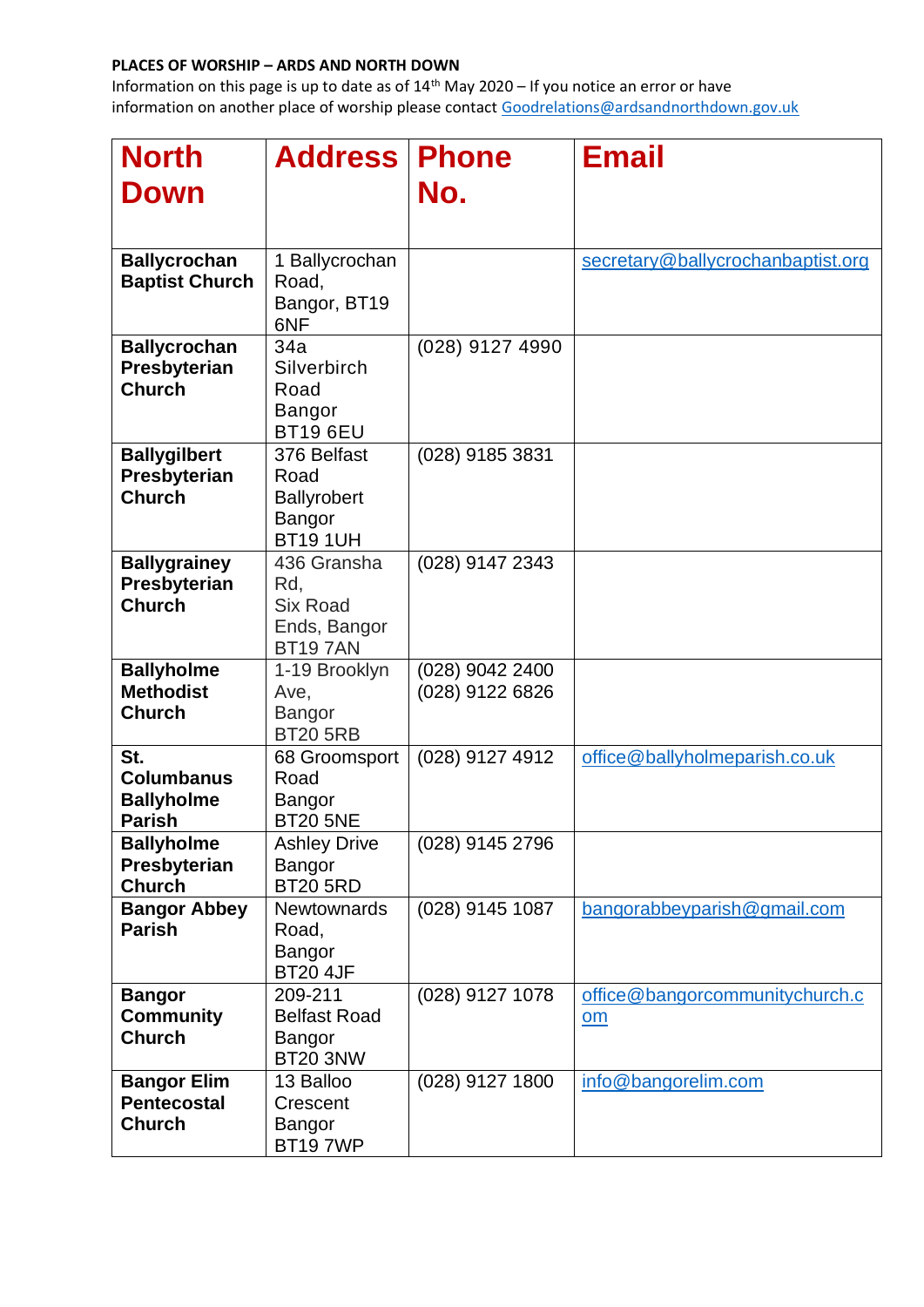| <b>North</b><br><b>Down</b>                                    | <b>Address</b>                                                          | <b>Phone</b><br>No.                | <b>Email</b>                                                |
|----------------------------------------------------------------|-------------------------------------------------------------------------|------------------------------------|-------------------------------------------------------------|
| <b>Ballycrochan</b><br><b>Baptist Church</b>                   | 1 Ballycrochan<br>Road,<br>Bangor, BT19<br>6NF                          |                                    | secretary@ballycrochanbaptist.org                           |
| <b>Ballycrochan</b><br>Presbyterian<br><b>Church</b>           | 34a<br>Silverbirch<br>Road<br><b>Bangor</b><br><b>BT19 6EU</b>          | (028) 9127 4990                    |                                                             |
| <b>Ballygilbert</b><br>Presbyterian<br><b>Church</b>           | 376 Belfast<br>Road<br><b>Ballyrobert</b><br>Bangor<br><b>BT191UH</b>   | (028) 9185 3831                    |                                                             |
| <b>Ballygrainey</b><br>Presbyterian<br><b>Church</b>           | 436 Gransha<br>Rd,<br><b>Six Road</b><br>Ends, Bangor<br><b>BT197AN</b> | (028) 9147 2343                    |                                                             |
| <b>Ballyholme</b><br><b>Methodist</b><br><b>Church</b>         | 1-19 Brooklyn<br>Ave,<br><b>Bangor</b><br><b>BT20 5RB</b>               | (028) 9042 2400<br>(028) 9122 6826 |                                                             |
| St.<br><b>Columbanus</b><br><b>Ballyholme</b><br><b>Parish</b> | 68 Groomsport<br>Road<br>Bangor<br><b>BT20 5NE</b>                      | (028) 9127 4912                    | office@ballyholmeparish.co.uk                               |
| <b>Ballyholme</b><br>Presbyterian<br><b>Church</b>             | <b>Ashley Drive</b><br><b>Bangor</b><br><b>BT20 5RD</b>                 | (028) 9145 2796                    |                                                             |
| <b>Bangor Abbey</b><br><b>Parish</b>                           | <b>Newtownards</b><br>Road,<br>Bangor<br><b>BT20 4JF</b>                | (028) 9145 1087                    | bangorabbeyparish@gmail.com                                 |
| <b>Bangor</b><br><b>Community</b><br><b>Church</b>             | 209-211<br><b>Belfast Road</b><br>Bangor<br><b>BT20 3NW</b>             | (028) 9127 1078                    | office@bangorcommunitychurch.c<br>$\underline{\mathsf{om}}$ |
| <b>Bangor Elim</b><br><b>Pentecostal</b><br><b>Church</b>      | 13 Balloo<br>Crescent<br><b>Bangor</b><br><b>BT197WP</b>                | (028) 9127 1800                    | info@bangorelim.com                                         |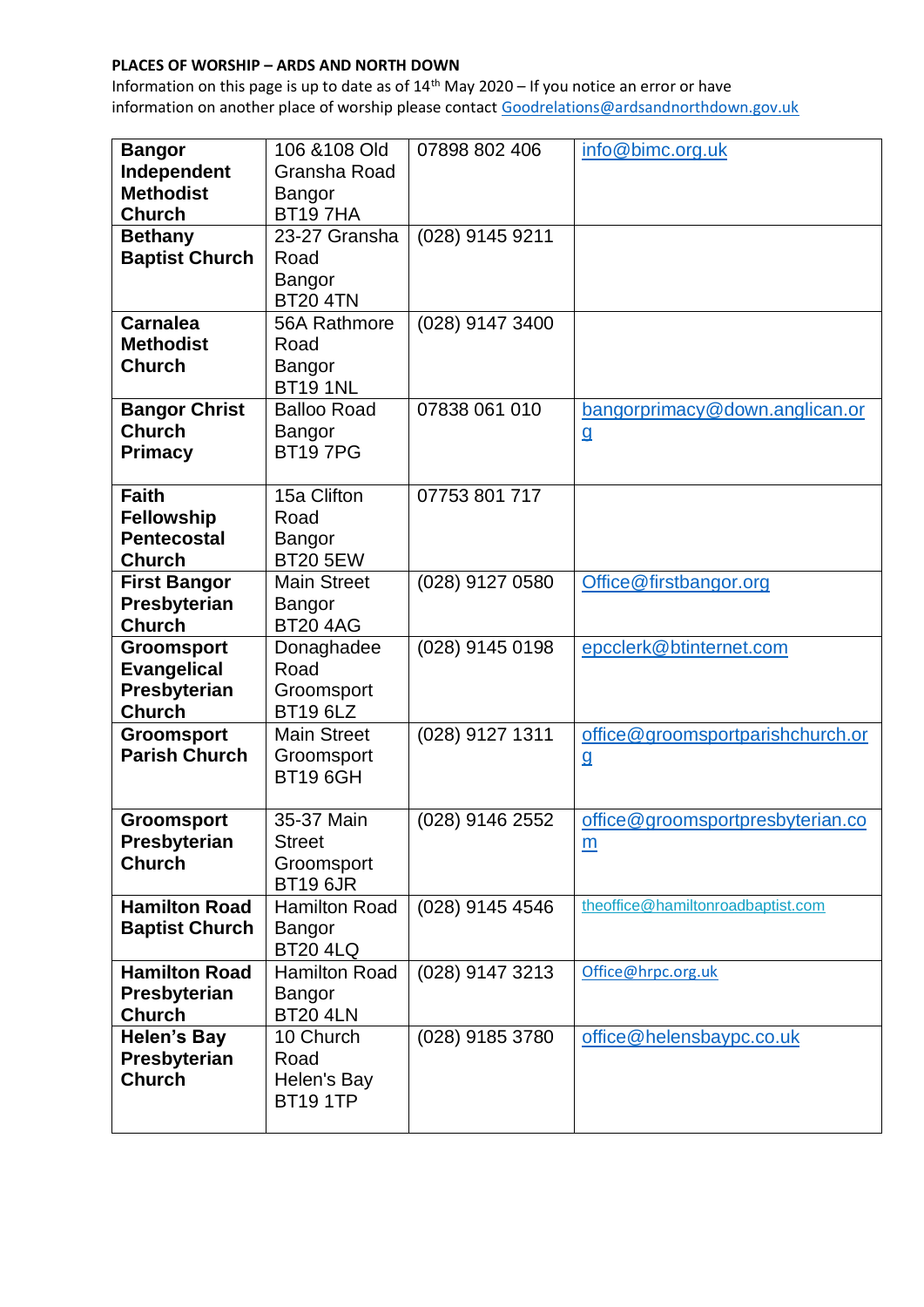| <b>Bangor</b>                 | 106 & 108 Old                    | 07898 802 406   | info@bimc.org.uk                  |
|-------------------------------|----------------------------------|-----------------|-----------------------------------|
| Independent                   | Gransha Road                     |                 |                                   |
| <b>Methodist</b>              | <b>Bangor</b>                    |                 |                                   |
| <b>Church</b>                 | <b>BT197HA</b>                   |                 |                                   |
| <b>Bethany</b>                | 23-27 Gransha                    | (028) 9145 9211 |                                   |
| <b>Baptist Church</b>         | Road                             |                 |                                   |
|                               | Bangor                           |                 |                                   |
|                               | <b>BT20 4TN</b>                  |                 |                                   |
| <b>Carnalea</b>               | 56A Rathmore                     | (028) 9147 3400 |                                   |
| <b>Methodist</b>              | Road                             |                 |                                   |
| <b>Church</b>                 | Bangor                           |                 |                                   |
|                               | <b>BT19 1NL</b>                  |                 |                                   |
| <b>Bangor Christ</b>          | <b>Balloo Road</b>               | 07838 061 010   | bangorprimacy@down.anglican.or    |
| <b>Church</b>                 | <b>Bangor</b>                    |                 | <u>g</u>                          |
| <b>Primacy</b>                | <b>BT197PG</b>                   |                 |                                   |
|                               |                                  |                 |                                   |
| <b>Faith</b>                  | 15a Clifton                      | 07753 801 717   |                                   |
| <b>Fellowship</b>             | Road                             |                 |                                   |
| <b>Pentecostal</b>            | Bangor                           |                 |                                   |
| <b>Church</b>                 | <b>BT20 5EW</b>                  |                 |                                   |
| <b>First Bangor</b>           | <b>Main Street</b>               | (028) 9127 0580 | Office@firstbangor.org            |
| Presbyterian<br><b>Church</b> | <b>Bangor</b><br><b>BT20 4AG</b> |                 |                                   |
| <b>Groomsport</b>             | Donaghadee                       | (028) 9145 0198 | epcclerk@btinternet.com           |
| <b>Evangelical</b>            | Road                             |                 |                                   |
| Presbyterian                  | Groomsport                       |                 |                                   |
| <b>Church</b>                 | <b>BT19 6LZ</b>                  |                 |                                   |
| <b>Groomsport</b>             | <b>Main Street</b>               | (028) 9127 1311 | office@groomsportparishchurch.or  |
| <b>Parish Church</b>          | Groomsport                       |                 | $9$                               |
|                               | <b>BT19 6GH</b>                  |                 |                                   |
|                               |                                  |                 |                                   |
| <b>Groomsport</b>             | 35-37 Main                       | (028) 9146 2552 | office@groomsportpresbyterian.co  |
| Presbyterian                  | <b>Street</b>                    |                 | $\underline{m}$                   |
| <b>Church</b>                 | Groomsport                       |                 |                                   |
|                               | <b>BT19 6JR</b>                  |                 |                                   |
| <b>Hamilton Road</b>          | <b>Hamilton Road</b>             | (028) 9145 4546 | theoffice@hamiltonroadbaptist.com |
| <b>Baptist Church</b>         | Bangor                           |                 |                                   |
|                               | <b>BT20 4LQ</b>                  |                 |                                   |
| <b>Hamilton Road</b>          | <b>Hamilton Road</b>             | (028) 9147 3213 | Office@hrpc.org.uk                |
| Presbyterian                  | <b>Bangor</b>                    |                 |                                   |
| <b>Church</b>                 | <b>BT20 4LN</b>                  |                 |                                   |
| <b>Helen's Bay</b>            | 10 Church                        | (028) 9185 3780 | office@helensbaypc.co.uk          |
| Presbyterian                  | Road                             |                 |                                   |
|                               |                                  |                 |                                   |
| <b>Church</b>                 | Helen's Bay                      |                 |                                   |
|                               | <b>BT19 1TP</b>                  |                 |                                   |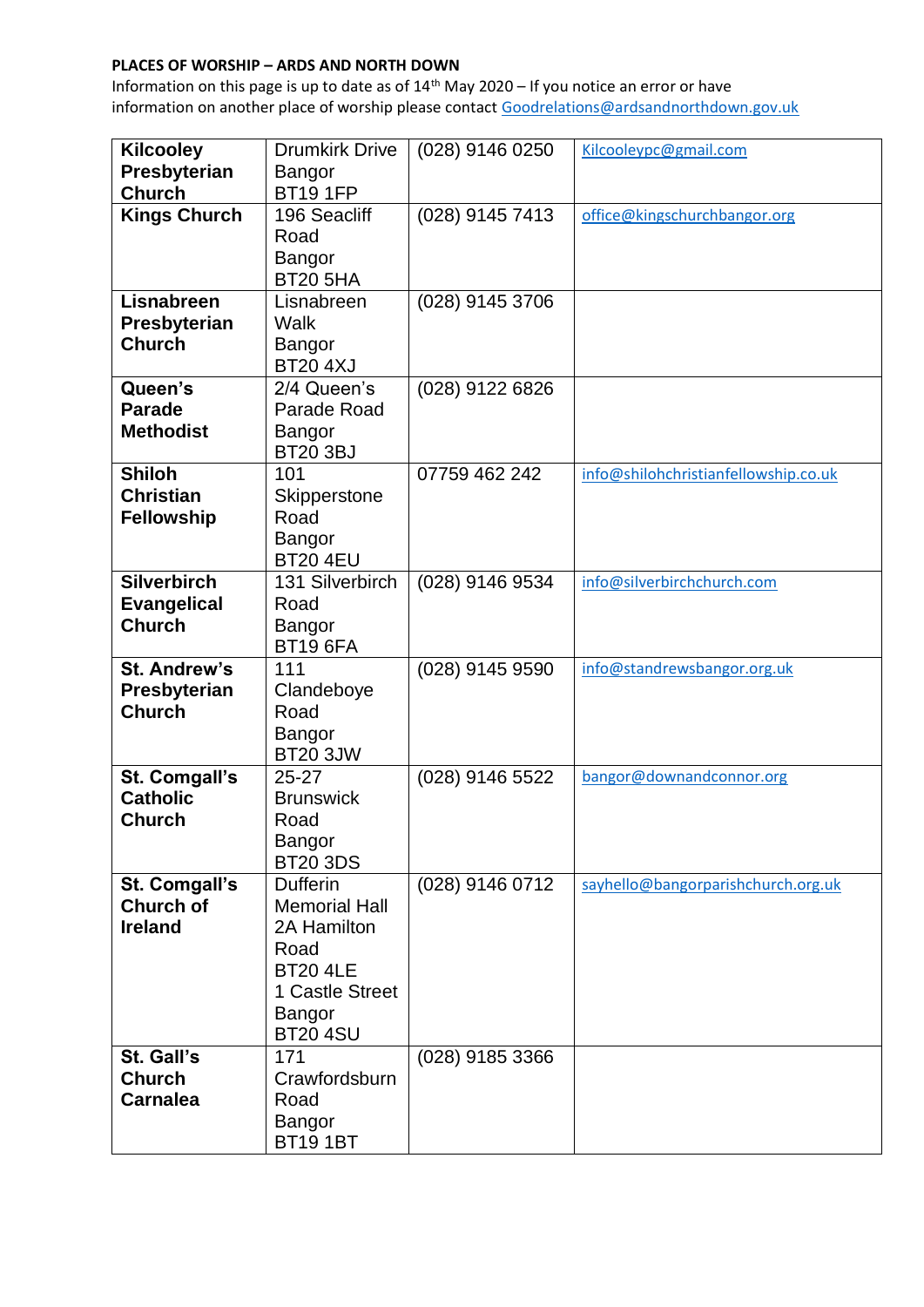| <b>Kilcooley</b>                                          | <b>Drumkirk Drive</b>                                                                                                             | (028) 9146 0250 | Kilcooleypc@gmail.com                |
|-----------------------------------------------------------|-----------------------------------------------------------------------------------------------------------------------------------|-----------------|--------------------------------------|
| Presbyterian                                              | Bangor                                                                                                                            |                 |                                      |
| <b>Church</b>                                             | <b>BT19 1FP</b>                                                                                                                   |                 |                                      |
| <b>Kings Church</b>                                       | 196 Seacliff<br>Road<br><b>Bangor</b><br><b>BT20 5HA</b>                                                                          | (028) 9145 7413 | office@kingschurchbangor.org         |
| <b>Lisnabreen</b><br>Presbyterian<br><b>Church</b>        | Lisnabreen<br>Walk<br>Bangor<br><b>BT20 4XJ</b>                                                                                   | (028) 9145 3706 |                                      |
| Queen's<br><b>Parade</b><br><b>Methodist</b>              | 2/4 Queen's<br>Parade Road<br>Bangor<br><b>BT20 3BJ</b>                                                                           | (028) 9122 6826 |                                      |
| <b>Shiloh</b><br><b>Christian</b><br><b>Fellowship</b>    | 101<br>Skipperstone<br>Road<br>Bangor<br><b>BT20 4EU</b>                                                                          | 07759 462 242   | info@shilohchristianfellowship.co.uk |
| <b>Silverbirch</b><br><b>Evangelical</b><br><b>Church</b> | 131 Silverbirch<br>Road<br>Bangor<br><b>BT19 6FA</b>                                                                              | (028) 9146 9534 | info@silverbirchchurch.com           |
| <b>St. Andrew's</b><br>Presbyterian<br><b>Church</b>      | 111<br>Clandeboye<br>Road<br>Bangor<br><b>BT20 3JW</b>                                                                            | (028) 9145 9590 | info@standrewsbangor.org.uk          |
| St. Comgall's<br><b>Catholic</b><br><b>Church</b>         | $25 - 27$<br><b>Brunswick</b><br>Road<br>Bangor<br><b>BT20 3DS</b>                                                                | (028) 9146 5522 | bangor@downandconnor.org             |
| St. Comgall's<br><b>Church of</b><br><b>Ireland</b>       | <b>Dufferin</b><br><b>Memorial Hall</b><br>2A Hamilton<br>Road<br><b>BT20 4LE</b><br>1 Castle Street<br>Bangor<br><b>BT20 4SU</b> | (028) 9146 0712 | sayhello@bangorparishchurch.org.uk   |
| St. Gall's<br><b>Church</b><br><b>Carnalea</b>            | 171<br>Crawfordsburn<br>Road<br>Bangor<br><b>BT191BT</b>                                                                          | (028) 9185 3366 |                                      |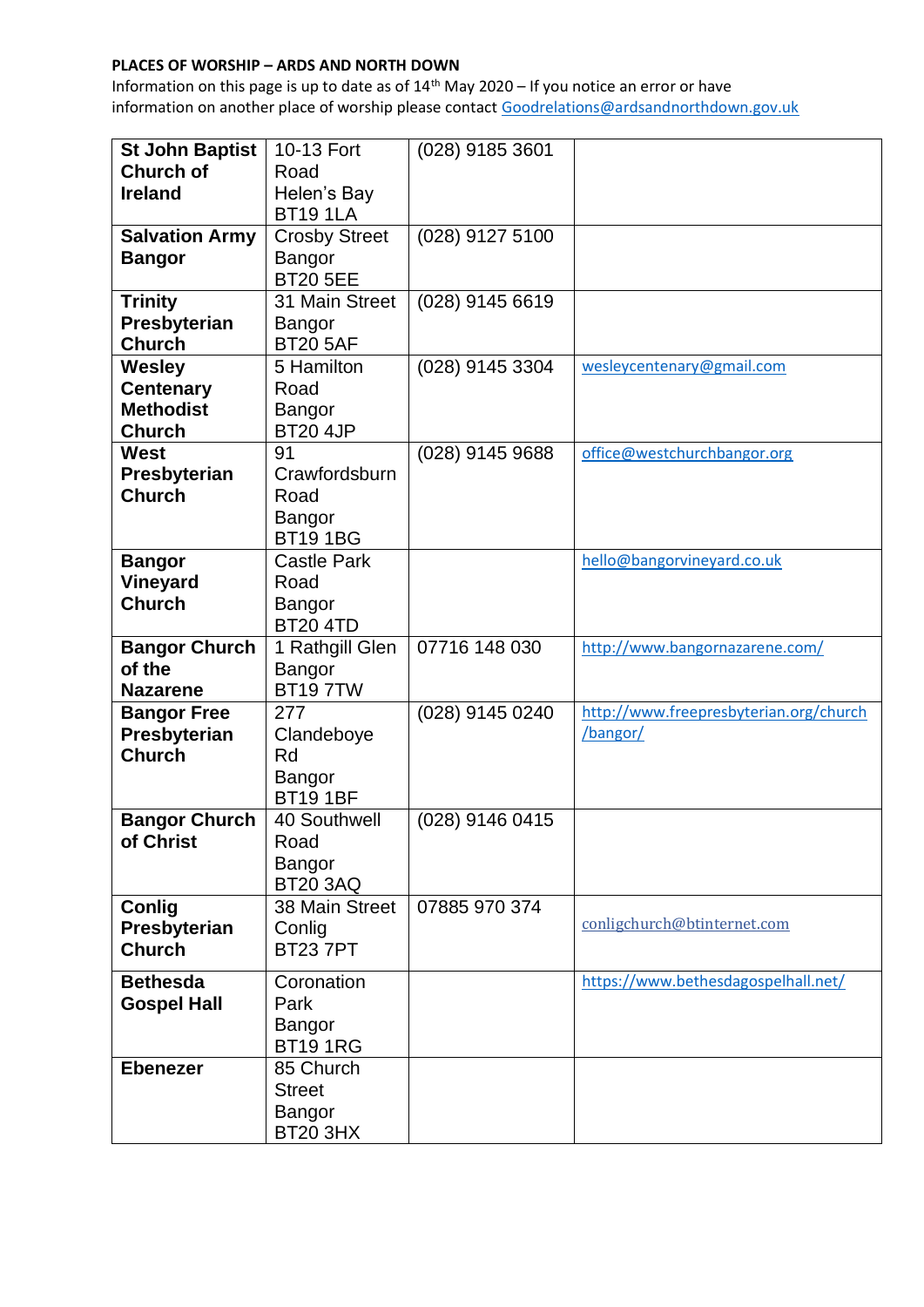| <b>St John Baptist</b> | 10-13 Fort               | (028) 9185 3601 |                                        |
|------------------------|--------------------------|-----------------|----------------------------------------|
| <b>Church of</b>       | Road                     |                 |                                        |
| <b>Ireland</b>         | Helen's Bay              |                 |                                        |
|                        | <b>BT191LA</b>           |                 |                                        |
| <b>Salvation Army</b>  | <b>Crosby Street</b>     | (028) 9127 5100 |                                        |
| <b>Bangor</b>          | Bangor                   |                 |                                        |
|                        | <b>BT20 5EE</b>          |                 |                                        |
| <b>Trinity</b>         | 31 Main Street           | (028) 9145 6619 |                                        |
| Presbyterian           | Bangor                   |                 |                                        |
| <b>Church</b>          | <b>BT20 5AF</b>          |                 |                                        |
| <b>Wesley</b>          | 5 Hamilton               | (028) 9145 3304 | wesleycentenary@gmail.com              |
| <b>Centenary</b>       | Road                     |                 |                                        |
| <b>Methodist</b>       | Bangor                   |                 |                                        |
| <b>Church</b>          | <b>BT20 4JP</b>          |                 |                                        |
| <b>West</b>            | 91                       | (028) 9145 9688 | office@westchurchbangor.org            |
| Presbyterian           | Crawfordsburn            |                 |                                        |
| <b>Church</b>          | Road                     |                 |                                        |
|                        |                          |                 |                                        |
|                        | Bangor<br><b>BT191BG</b> |                 |                                        |
|                        | <b>Castle Park</b>       |                 |                                        |
| <b>Bangor</b>          |                          |                 | hello@bangorvineyard.co.uk             |
| <b>Vineyard</b>        | Road                     |                 |                                        |
| <b>Church</b>          | Bangor                   |                 |                                        |
|                        | <b>BT20 4TD</b>          |                 |                                        |
| <b>Bangor Church</b>   | 1 Rathgill Glen          | 07716 148 030   | http://www.bangornazarene.com/         |
| of the                 | Bangor                   |                 |                                        |
| <b>Nazarene</b>        | <b>BT197TW</b>           |                 |                                        |
| <b>Bangor Free</b>     | 277                      | (028) 9145 0240 | http://www.freepresbyterian.org/church |
| Presbyterian           | Clandeboye               |                 | /bangor/                               |
| <b>Church</b>          | Rd                       |                 |                                        |
|                        | Bangor                   |                 |                                        |
|                        | <b>BT191BF</b>           |                 |                                        |
| <b>Bangor Church</b>   | 40 Southwell             |                 |                                        |
|                        |                          | (028) 9146 0415 |                                        |
| of Christ              | Road                     |                 |                                        |
|                        | Bangor                   |                 |                                        |
|                        | <b>BT20 3AQ</b>          |                 |                                        |
| Conlig                 | 38 Main Street           | 07885 970 374   |                                        |
| Presbyterian           | Conlig                   |                 | conligchurch@btinternet.com            |
| <b>Church</b>          | <b>BT237PT</b>           |                 |                                        |
| <b>Bethesda</b>        | Coronation               |                 | https://www.bethesdagospelhall.net/    |
| <b>Gospel Hall</b>     | Park                     |                 |                                        |
|                        | Bangor                   |                 |                                        |
|                        | <b>BT191RG</b>           |                 |                                        |
| <b>Ebenezer</b>        | 85 Church                |                 |                                        |
|                        | <b>Street</b>            |                 |                                        |
|                        | Bangor                   |                 |                                        |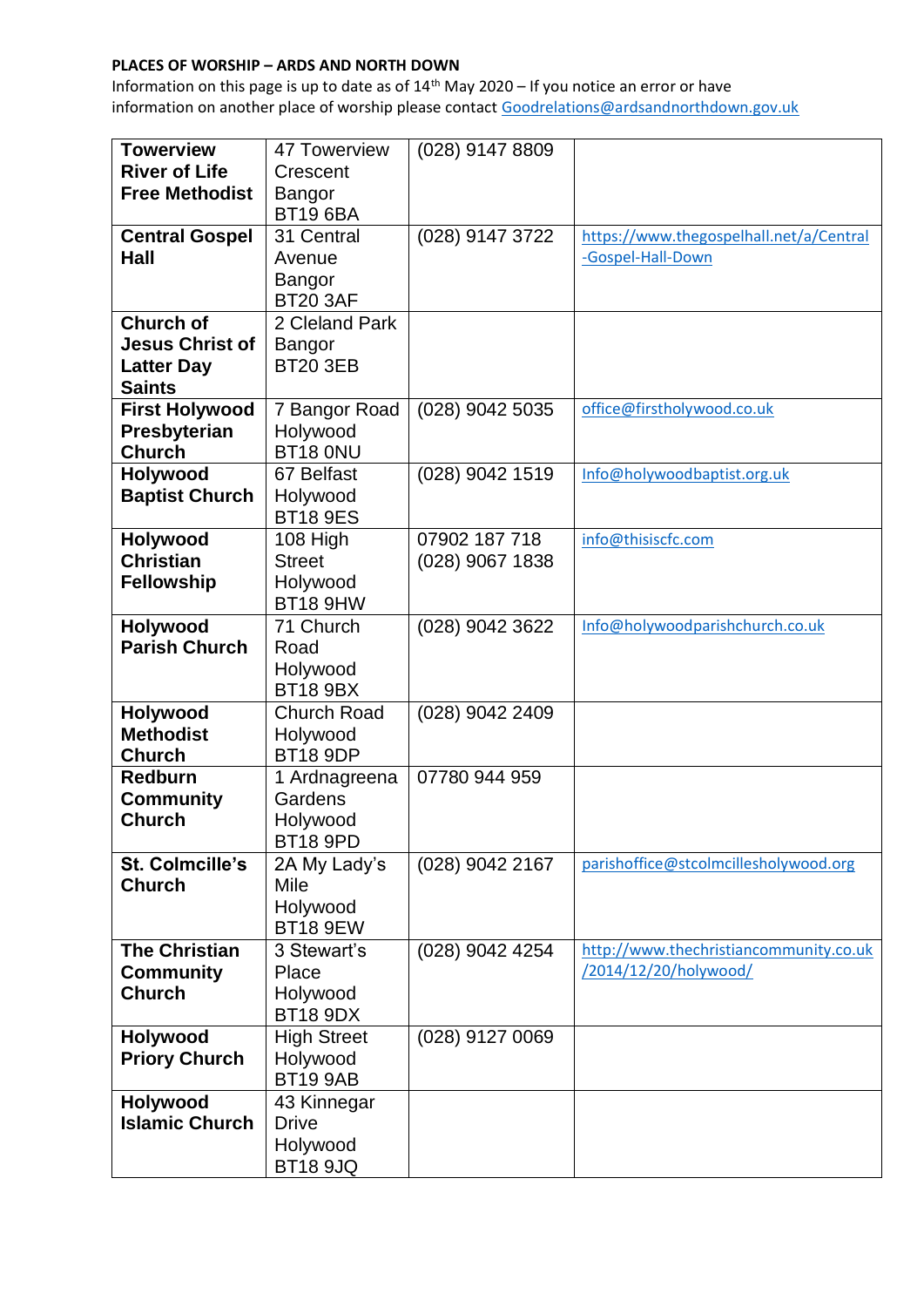| <b>Towerview</b>       | 47 Towerview       | (028) 9147 8809   |                                         |
|------------------------|--------------------|-------------------|-----------------------------------------|
| <b>River of Life</b>   | Crescent           |                   |                                         |
| <b>Free Methodist</b>  | Bangor             |                   |                                         |
|                        | <b>BT19 6BA</b>    |                   |                                         |
| <b>Central Gospel</b>  | 31 Central         | (028) 9147 3722   | https://www.thegospelhall.net/a/Central |
| Hall                   | Avenue             |                   | -Gospel-Hall-Down                       |
|                        | Bangor             |                   |                                         |
|                        | <b>BT20 3AF</b>    |                   |                                         |
| <b>Church of</b>       | 2 Cleland Park     |                   |                                         |
| <b>Jesus Christ of</b> | Bangor             |                   |                                         |
| <b>Latter Day</b>      | <b>BT20 3EB</b>    |                   |                                         |
| <b>Saints</b>          |                    |                   |                                         |
| <b>First Holywood</b>  | 7 Bangor Road      | $(028)$ 9042 5035 | office@firstholywood.co.uk              |
| Presbyterian           | Holywood           |                   |                                         |
| <b>Church</b>          | BT18 ONU           |                   |                                         |
| <b>Holywood</b>        | 67 Belfast         | (028) 9042 1519   | Info@holywoodbaptist.org.uk             |
| <b>Baptist Church</b>  | Holywood           |                   |                                         |
|                        | <b>BT18 9ES</b>    |                   |                                         |
| <b>Holywood</b>        | 108 High           | 07902 187 718     | info@thisiscfc.com                      |
| <b>Christian</b>       | <b>Street</b>      | (028) 9067 1838   |                                         |
| <b>Fellowship</b>      | Holywood           |                   |                                         |
|                        | <b>BT18 9HW</b>    |                   |                                         |
| Holywood               | 71 Church          | (028) 9042 3622   | Info@holywoodparishchurch.co.uk         |
| <b>Parish Church</b>   | Road               |                   |                                         |
|                        | Holywood           |                   |                                         |
|                        | <b>BT18 9BX</b>    |                   |                                         |
| Holywood               | <b>Church Road</b> | (028) 9042 2409   |                                         |
| <b>Methodist</b>       | Holywood           |                   |                                         |
| <b>Church</b>          | <b>BT18 9DP</b>    |                   |                                         |
| <b>Redburn</b>         | 1 Ardnagreena      | 07780 944 959     |                                         |
| <b>Community</b>       | Gardens            |                   |                                         |
| <b>Church</b>          | Holywood           |                   |                                         |
|                        | <b>BT18 9PD</b>    |                   |                                         |
| St. Colmcille's        | 2A My Lady's       | (028) 9042 2167   | parishoffice@stcolmcillesholywood.org   |
| <b>Church</b>          | Mile               |                   |                                         |
|                        | Holywood           |                   |                                         |
|                        | <b>BT18 9EW</b>    |                   |                                         |
| <b>The Christian</b>   | 3 Stewart's        | (028) 9042 4254   | http://www.thechristiancommunity.co.uk  |
| <b>Community</b>       | Place              |                   | /2014/12/20/holywood/                   |
| <b>Church</b>          | Holywood           |                   |                                         |
|                        | <b>BT18 9DX</b>    |                   |                                         |
| Holywood               | <b>High Street</b> | (028) 9127 0069   |                                         |
| <b>Priory Church</b>   | Holywood           |                   |                                         |
|                        | <b>BT19 9AB</b>    |                   |                                         |
| Holywood               | 43 Kinnegar        |                   |                                         |
| <b>Islamic Church</b>  | <b>Drive</b>       |                   |                                         |
|                        | Holywood           |                   |                                         |
|                        | <b>BT18 9JQ</b>    |                   |                                         |